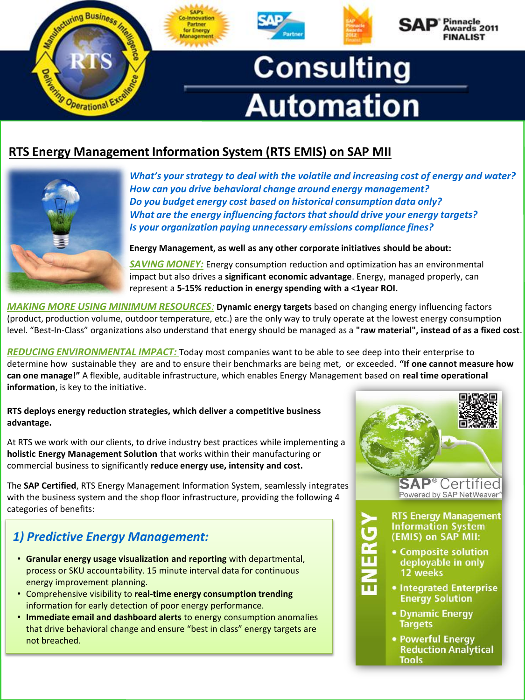

### **RTS Energy Management Information System (RTS EMIS) on SAP MII**



*What's your strategy to deal with the volatile and increasing cost of energy and water? How can you drive behavioral change around energy management? Do you budget energy cost based on historical consumption data only? What are the energy influencing factors that should drive your energy targets? Is your organization paying unnecessary emissions compliance fines?* 

**Energy Management, as well as any other corporate initiatives should be about:** 

*SAVING MONEY:* Energy consumption reduction and optimization has an environmental impact but also drives a **significant economic advantage**. Energy, managed properly, can represent a **5-15% reduction in energy spending with a <1year ROI.** 

*MAKING MORE USING MINIMUM RESOURCES:* **Dynamic energy targets** based on changing energy influencing factors (product, production volume, outdoor temperature, etc.) are the only way to truly operate at the lowest energy consumption level. "Best-In-Class" organizations also understand that energy should be managed as a **"raw material", instead of as a fixed cost**.

*REDUCING ENVIRONMENTAL IMPACT:* Today most companies want to be able to see deep into their enterprise to determine how sustainable they are and to ensure their benchmarks are being met, or exceeded. **"If one cannot measure how can one manage!"** A flexible, auditable infrastructure, which enables Energy Management based on **real time operational information**, is key to the initiative.

### **RTS deploys energy reduction strategies, which deliver a competitive business advantage.**

At RTS we work with our clients, to drive industry best practices while implementing a **holistic Energy Management Solution** that works within their manufacturing or commercial business to significantly **reduce energy use, intensity and cost.** 

The **SAP Certified**, RTS Energy Management Information System, seamlessly integrates with the business system and the shop floor infrastructure, providing the following 4 categories of benefits:

## *1) Predictive Energy Management:*

- **Granular energy usage visualization and reporting** with departmental, process or SKU accountability. 15 minute interval data for continuous energy improvement planning.
- Comprehensive visibility to **real-time energy consumption trending**  information for early detection of poor energy performance.
- **Immediate email and dashboard alerts** to energy consumption anomalies that drive behavioral change and ensure "best in class" energy targets are not breached.





 $\frac{2}{11}$ 

**RTS Energy Management Information System** (EMIS) on SAP MII:

- Composite solution deployable in only 12 weeks
- Integrated Enterprise **Energy Solution**
- Dynamic Energy **Targets**
- Powerful Energy **Reduction Analytical Tools**